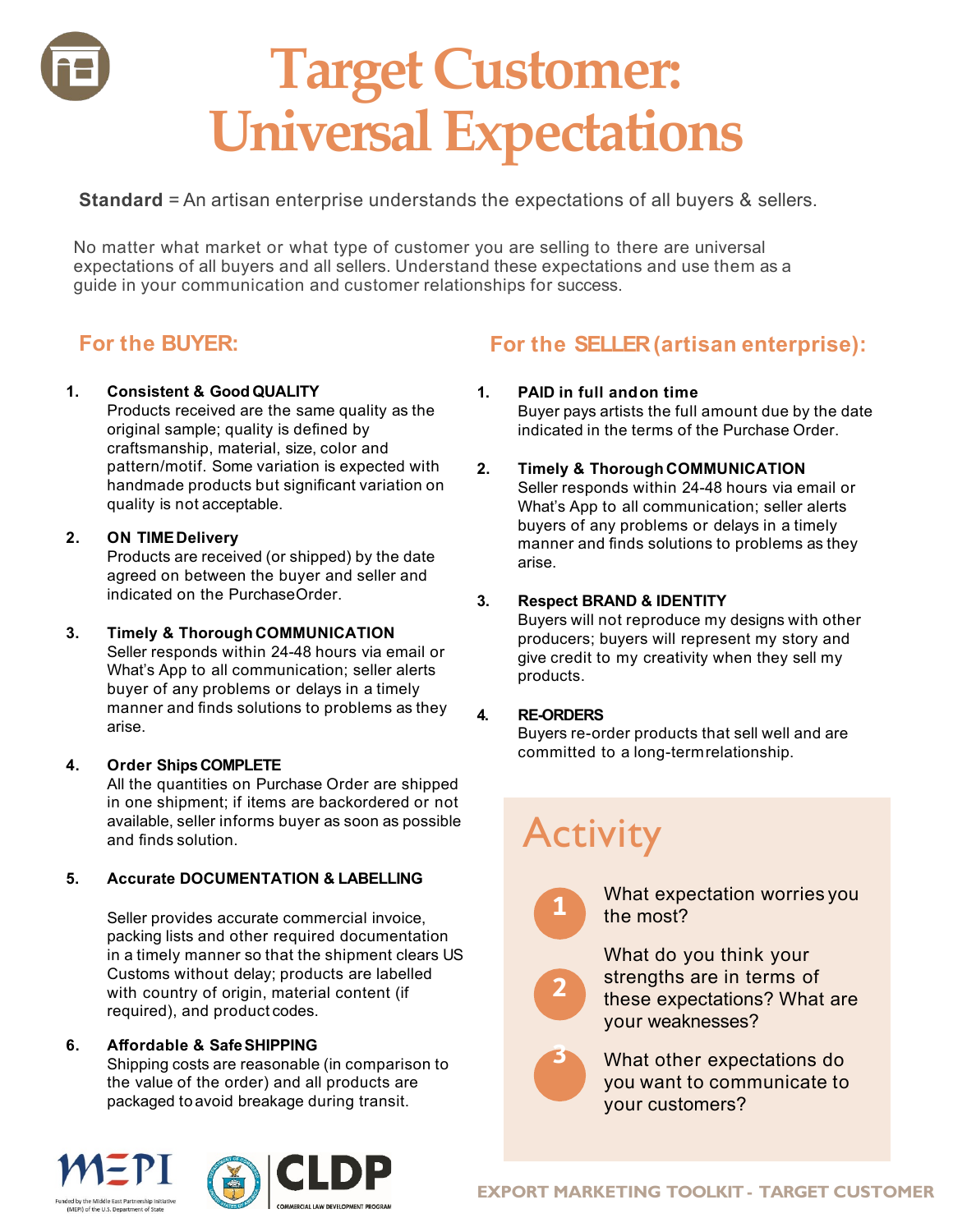# **Target Customer: Universal Expectations**

**Standard** = An artisan enterprise understands the expectations of all buyers & sellers.

No matter what market or what type of customer you are selling to there are universal expectations of all buyers and all sellers. Understand these expectations and use them as a guide in your communication and customer relationships for success.

### **For the BUYER:**

#### **1. Consistent & Good QUALITY**

Products received are the same quality as the original sample; quality is defined by craftsmanship, material, size, color and pattern/motif. Some variation is expected with handmade products but significant variation on quality is not acceptable.

#### **2. ON TIMEDelivery**

Products are received (or shipped) by the date agreed on between the buyer and seller and indicated on the PurchaseOrder.

#### **3. Timely & Thorough COMMUNICATION**

Seller responds within 24-48 hours via email or What's App to all communication; seller alerts buyer of any problems or delays in a timely manner and finds solutions to problems as they arise.

#### **4. Order ShipsCOMPLETE**

All the quantities on Purchase Order are shipped in one shipment; if items are backordered or not available, seller informs buyer as soon as possible and finds solution.

#### **5. Accurate DOCUMENTATION & LABELLING**

Seller provides accurate commercial invoice, packing lists and other required documentation in a timely manner so that the shipment clears US Customs without delay; products are labelled with country of origin, material content (if required), and product codes.

#### **6. Affordable & SafeSHIPPING**

Shipping costs are reasonable (in comparison to the value of the order) and all products are packaged toavoid breakage during transit.

### **For the SELLER (artisan enterprise):**

#### **1. PAID in full andon time**

Buyer pays artists the full amount due by the date indicated in the terms of the Purchase Order.

**2. Timely & Thorough COMMUNICATION** Seller responds within 24-48 hours via email or What's App to all communication; seller alerts buyers of any problems or delays in a timely manner and finds solutions to problems as they arise.

#### **3. Respect BRAND & IDENTITY**

Buyers will not reproduce my designs with other producers; buyers will represent my story and give credit to my creativity when they sell my products.

#### **4. RE-ORDERS**

Buyers re-order products that sell well and are committed to a long-termrelationship.

## **Activity**

**1**

**2**

**3**

What expectation worries you the most?

What do you think your strengths are in terms of these expectations? What are your weaknesses?

What other expectations do you want to communicate to your customers?





**EXPORT MARKETING TOOLKIT - TARGET CUSTOMER**

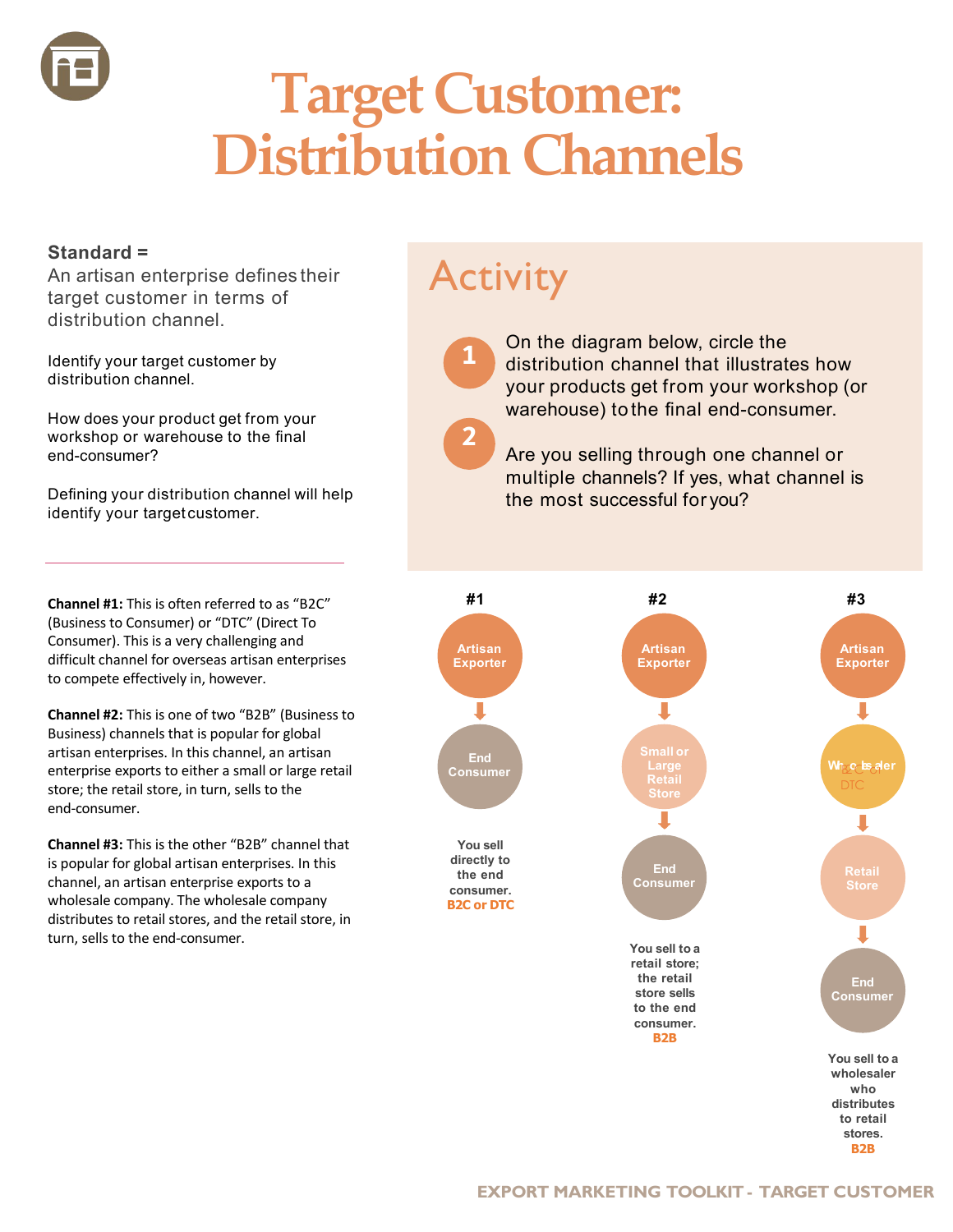

# **Target Customer: Distribution Channels**

#### **Standard =**

An artisan enterprise defines their target customer in terms of distribution channel.

Identify your target customer by distribution channel.

How does your product get from your workshop or warehouse to the final end-consumer?

Defining your distribution channel will help identify your target customer.

**Channel #1:** This is often referred to as "B2C" (Business to Consumer) or "DTC" (Direct To Consumer). This is a very challenging and difficult channel for overseas artisan enterprises to compete effectively in, however.

**Channel #2:** This is one of two "B2B" (Business to Business) channels that is popular for global artisan enterprises. In this channel, an artisan enterprise exports to either a small or large retail store; the retail store, in turn, sells to the end-consumer.

**Channel #3:** This is the other "B2B" channel that is popular for global artisan enterprises. In this channel, an artisan enterprise exports to a wholesale company. The wholesale company distributes to retail stores, and the retail store, in turn, sells to the end-consumer.

## **Activity**

**1**

**2**

On the diagram below, circle the distribution channel that illustrates how your products get from your workshop (or warehouse) to the final end-consumer.

Are you selling through one channel or multiple channels? If yes, what channel is the most successful for you?

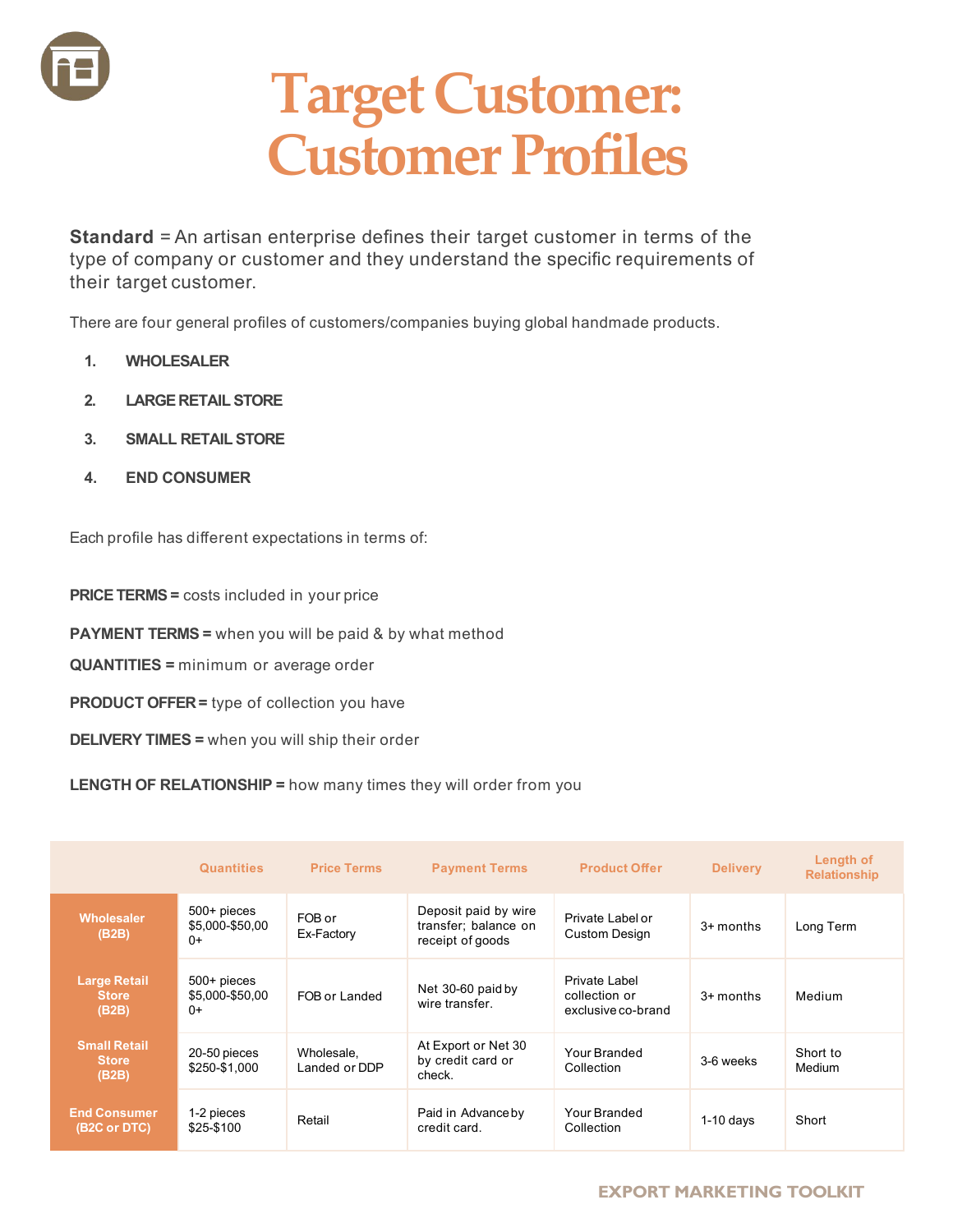

## **Target Customer: Customer Profiles**

**Standard** = An artisan enterprise defines their target customer in terms of the type of company or customer and they understand the specific requirements of their target customer.

There are four general profiles of customers/companies buying global handmade products.

- **1. WHOLESALER**
- **2. LARGE RETAIL STORE**
- **3. SMALL RETAIL STORE**
- **4. END CONSUMER**

Each profile has different expectations in terms of:

**PRICE TERMS =** costs included in your price

**PAYMENT TERMS =** when you will be paid & by what method

**QUANTITIES =** minimum or average order

**PRODUCT OFFER =** type of collection you have

**DELIVERY TIMES =** when you will ship their order

**LENGTH OF RELATIONSHIP =** how many times they will order from you

|                                                  | <b>Quantities</b>                         | <b>Price Terms</b>          | <b>Payment Terms</b>                                             | <b>Product Offer</b>                                 | <b>Delivery</b> | Length of<br><b>Relationship</b> |
|--------------------------------------------------|-------------------------------------------|-----------------------------|------------------------------------------------------------------|------------------------------------------------------|-----------------|----------------------------------|
| <b>Wholesaler</b><br>(B2B)                       | 500+ pieces<br>\$5,000-\$50,00<br>$^{0+}$ | FOB or<br>Ex-Factory        | Deposit paid by wire<br>transfer; balance on<br>receipt of goods | Private Label or<br>Custom Design                    | 3+ months       | Long Term                        |
| <b>Large Retail</b><br><b>Store</b><br>(B2B)     | 500+ pieces<br>\$5,000-\$50,00<br>$0+$    | FOB or Landed               | Net 30-60 paid by<br>wire transfer.                              | Private Label<br>collection or<br>exclusive co-brand | $3+$ months     | Medium                           |
| <b>Small Retail</b><br><b>Store</b><br>(B2B)     | 20-50 pieces<br>\$250-\$1.000             | Wholesale,<br>Landed or DDP | At Export or Net 30<br>by credit card or<br>check.               | Your Branded<br>Collection                           | 3-6 weeks       | Short to<br>Medium               |
| <b>End Consumer</b><br>(B <sub>2</sub> C or DTC) | 1-2 pieces<br>\$25-\$100                  | Retail                      | Paid in Advance by<br>credit card.                               | Your Branded<br>Collection                           | $1-10$ days     | Short                            |